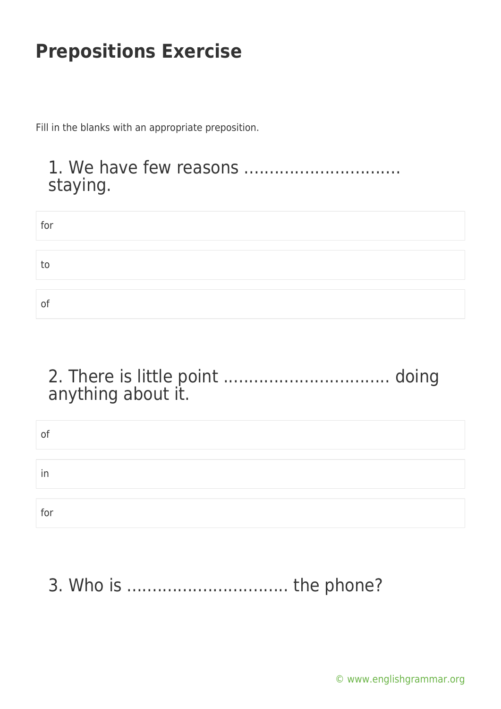Fill in the blanks with an appropriate preposition.

#### 1. We have few reasons ............................... staying.

| for |  |  |  |
|-----|--|--|--|
|     |  |  |  |
| to  |  |  |  |
|     |  |  |  |
| of  |  |  |  |

### 2. There is little point ................................. doing anything about it.

| of  |  |  |
|-----|--|--|
|     |  |  |
| in  |  |  |
|     |  |  |
| for |  |  |

# 3. Who is ................................ the phone?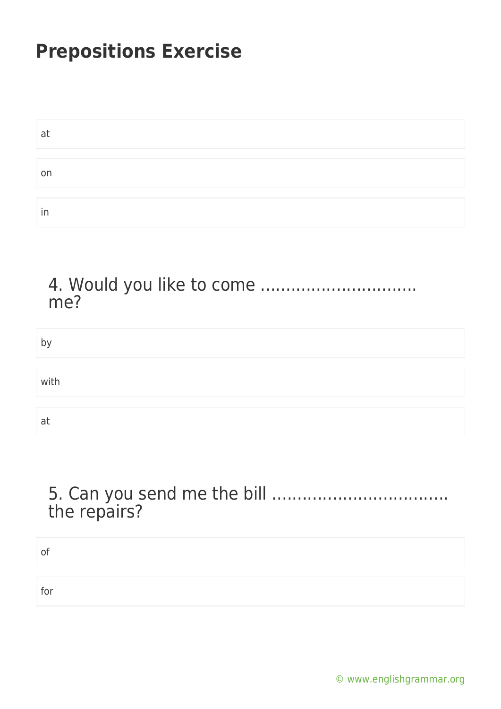| at |  |  |  |
|----|--|--|--|
|    |  |  |  |
| on |  |  |  |
|    |  |  |  |
| in |  |  |  |

#### 4. Would you like to come ............................... me?

| by   |  |
|------|--|
|      |  |
| with |  |
|      |  |
| at   |  |

#### 5. Can you send me the bill ................................... the repairs?

| n   |  |
|-----|--|
| for |  |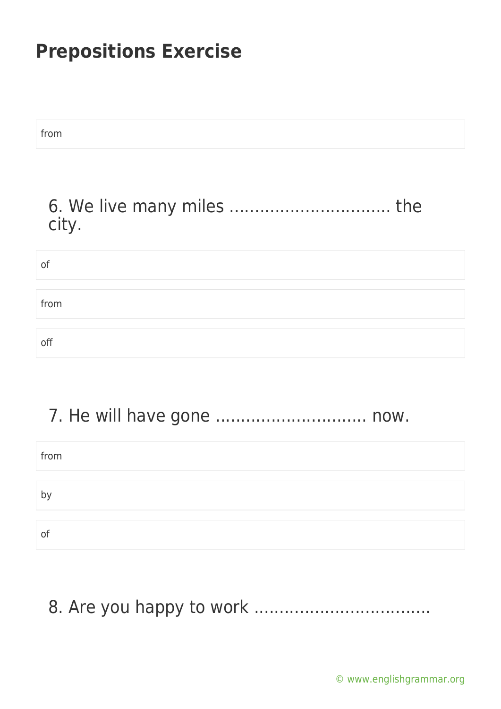from

#### 6. We live many miles ................................ the city.

| οf   |  |  |
|------|--|--|
|      |  |  |
| from |  |  |
|      |  |  |
| off  |  |  |

### 7. He will have gone .............................. now.

| from |  |
|------|--|
|      |  |
| p,   |  |
|      |  |
| O1   |  |

### 8. Are you happy to work ...................................

[© www.englishgrammar.org](https://www.englishgrammar.org/)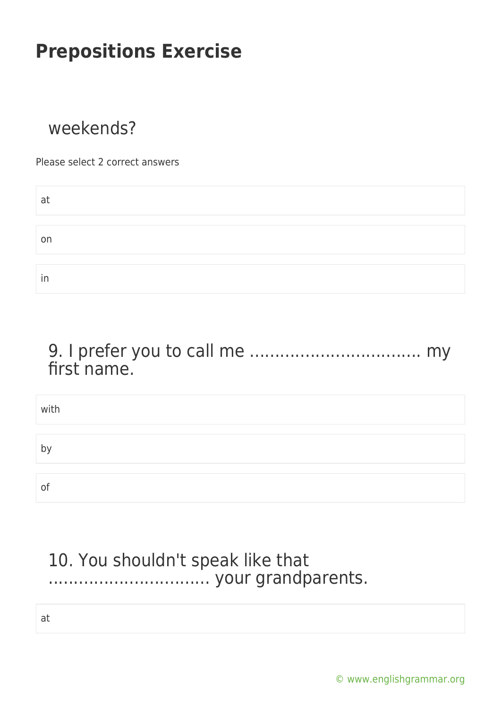### weekends?

Please select 2 correct answers

| a  |  |
|----|--|
|    |  |
| on |  |
|    |  |
| in |  |

#### 9. I prefer you to call me .................................. my first name.

| with         |  |
|--------------|--|
| $\mathsf{D}$ |  |
|              |  |
| O1           |  |

### 10. You shouldn't speak like that ................................ your grandparents.

at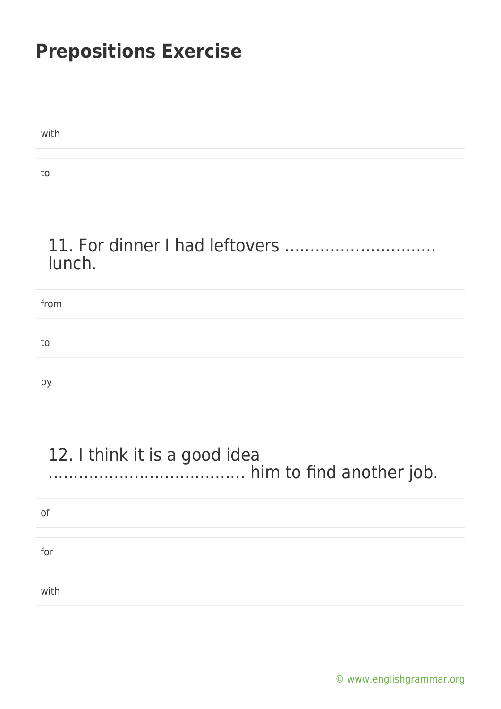| with |  |
|------|--|
|      |  |
| -to  |  |

#### 11. For dinner I had leftovers .............................. lunch.

| from |  |
|------|--|
|      |  |
| to   |  |
|      |  |
| by   |  |

#### 12. I think it is a good idea ....................................... him to find another job.

| of   |  |
|------|--|
| for  |  |
|      |  |
| with |  |